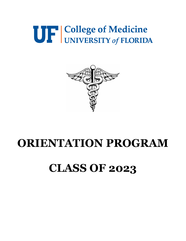# UF College of Medicine



# **ORIENTATION PROGRAM**

# **CLASS OF 2023**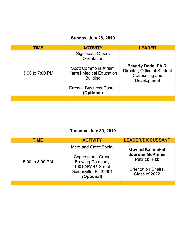### **Sunday, July 28, 2019**

| <b>TIME</b>     | <b>ACTIVITY</b>                                                                    | <b>LEADER</b>                                                                              |
|-----------------|------------------------------------------------------------------------------------|--------------------------------------------------------------------------------------------|
|                 | <b>Significant Others</b><br>Orientation                                           |                                                                                            |
| 5:00 to 7:00 PM | <b>Scott Commons Atrium</b><br><b>Harrell Medical Education</b><br><b>Building</b> | <b>Beverly Dede, Ph.D.</b><br>Director, Office of Student<br>Counseling and<br>Development |
|                 | Dress - Business Casual<br>(Optional)                                              |                                                                                            |
|                 |                                                                                    |                                                                                            |

### **Tuesday, July 30, 2019**

| <b>TIME</b>     | <b>ACTIVITY</b>                                                                                                                                      | <b>LEADER/DISCUSSANT</b>                                                                                                 |
|-----------------|------------------------------------------------------------------------------------------------------------------------------------------------------|--------------------------------------------------------------------------------------------------------------------------|
| 5:00 to 8:00 PM | Meet and Greet Social<br><b>Cypress and Grove</b><br><b>Brewing Company</b><br>1001 NW 4 <sup>th</sup> Street<br>Gainesville, FL 32601<br>(Optional) | <b>Govind Kallumkal</b><br><b>Jourdan McKinnis</b><br><b>Patrick Rizk</b><br><b>Orientation Chairs,</b><br>Class of 2022 |
|                 |                                                                                                                                                      |                                                                                                                          |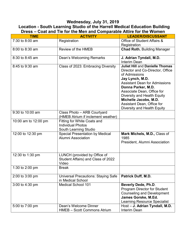#### **Wednesday, July 31, 2019**

#### **Location - South Learning Studio of the Harrell Medical Education Building Dress – Coat and Tie for the Men and Comparable Attire for the Women**

| <b>TIME</b>          | <b>ACTIVITY</b>                                                                  | <b>LEADER/DISCUSSANT</b>                                                                                                                                                                                                                                                                                                        |
|----------------------|----------------------------------------------------------------------------------|---------------------------------------------------------------------------------------------------------------------------------------------------------------------------------------------------------------------------------------------------------------------------------------------------------------------------------|
| 7:30 to 8:00 am      | Registration                                                                     | Office of Student Affairs &<br>Registration                                                                                                                                                                                                                                                                                     |
| 8:00 to 8:30 am      | Review of the HMEB                                                               | <b>Chad Roth, Building Manager</b>                                                                                                                                                                                                                                                                                              |
| 8:30 to 8:45 am      | Dean's Welcoming Remarks                                                         | J. Adrian Tyndall, M.D.<br><b>Interim Dean</b>                                                                                                                                                                                                                                                                                  |
| 8:45 to 9:30 am      | Class of 2023: Embracing Diversity                                               | <b>Juliet Hill and Danielle Thomas</b><br>Director and Co-Director, Office<br>of Admissions<br>Jay Lynch, M.D.<br><b>Assistant Dean for Admissions</b><br>Donna Parker, M.D.<br>Associate Dean, Office for<br>Diversity and Health Equity<br>Michelle Jacobs, M.D.<br>Assistant Dean, Office for<br>Diversity and Health Equity |
| 9:30 to 10:00 am     | Class Photo - ARB Courtyard<br>(HMEB Atrium if inclement weather)                |                                                                                                                                                                                                                                                                                                                                 |
| 10:00 am to 12:00 pm | Fitting for White Coats and<br><b>Individual Photos</b><br>South Learning Studio |                                                                                                                                                                                                                                                                                                                                 |
| 12:00 to 12:30 pm    | <b>Special Presentation by Medical</b><br><b>Alumni Association</b>              | Mark Michels, M.D., Class of<br>1985<br>President, Alumni Association                                                                                                                                                                                                                                                           |
| 12:30 to 1:30 pm     | LUNCH (provided by Office of<br>Student Affairs) and Class of 2022<br>Video      |                                                                                                                                                                                                                                                                                                                                 |
| 1:30 to 2:00 pm      | <b>Break</b>                                                                     |                                                                                                                                                                                                                                                                                                                                 |
| 2:00 to 3:00 pm      | <b>Universal Precautions: Staying Safe</b><br>in Medical School                  | <b>Patrick Duff, M.D.</b>                                                                                                                                                                                                                                                                                                       |
| 3:00 to 4:30 pm      | <b>Medical School 101</b>                                                        | Beverly Dede, Ph.D.<br><b>Program Director for Student</b><br><b>Counseling and Development</b><br>James Gorske, M.Ed.<br>Learning Resource Specialist                                                                                                                                                                          |
| 5:00 to 7:00 pm      | Dean's Welcome Dinner<br><b>HMEB - Scott Commons Atrium</b>                      | Host - J. Adrian Tyndall, M.D.<br>Interim Dean                                                                                                                                                                                                                                                                                  |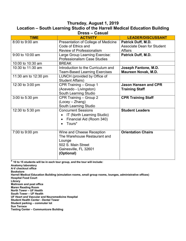#### **Thursday, August 1, 2019 Location – South Learning Studio of the Harrell Medical Education Building Dress – Casual**

| Prosa — Adada        |                                                                                                                                  |                                                                                  |  |
|----------------------|----------------------------------------------------------------------------------------------------------------------------------|----------------------------------------------------------------------------------|--|
| <b>TIME</b>          | <b>ACTIVITY</b>                                                                                                                  | <b>LEADER/DISCUSSANT</b>                                                         |  |
| 8:00 to 9:00 am      | Presentation of College of Medicine<br>Code of Ethics and<br><b>Review of Professionalism</b>                                    | <b>Patrick Duff, M.D.</b><br><b>Associate Dean for Student</b><br><b>Affairs</b> |  |
| 9:00 to 10:00 am     | Large Group Learning Exercise:<br><b>Professionalism Case Studies</b>                                                            | <b>Patrick Duff, M.D.</b>                                                        |  |
| 10:00 to 10:30 am    | <b>BREAK</b>                                                                                                                     |                                                                                  |  |
| 10:30 to 11:30 am    | Introduction to the Curriculum and<br><b>Team-Based Learning Exercises</b>                                                       | Joseph Fantone, M.D.<br>Maureen Novak, M.D.                                      |  |
| 11:30 am to 12:30 pm | LUNCH (provided by Office of<br><b>Student Affairs)</b>                                                                          |                                                                                  |  |
| 12:30 to 3:00 pm     | CPR Training - Group 1<br>(Acevedo - Livingston)<br>South Learning Studio                                                        | <b>Jason Hansen and CPR</b><br><b>Training Staff</b>                             |  |
| 3:00 to 5:30 pm      | CPR Training - Group 2<br>(Locey - Zhang)<br>South Learning Studio                                                               | <b>CPR Training Staff</b>                                                        |  |
| 12:30 to 5:30 pm     | <b>Concurrent Sessions</b><br>IT (North Learning Studio)<br>$\bullet$<br>Financial Aid (Room 340)<br>Tours*                      | <b>Student Leaders</b>                                                           |  |
| 7:00 to 9:00 pm      | Wine and Cheese Reception<br>The Warehouse Restaurant and<br>Lounge<br>502 S. Main Street<br>Gainesville, FL 32601<br>(Optional) | <b>Orientation Chairs</b>                                                        |  |

**\* 10 to 15 students will be in each tour group, and the tour will include:**

**Anatomy laboratory A-V checkout office Bookstore Harrell Medical Education Building (simulation rooms, small group rooms, lounges, administrative offices) Hospital Food Court Library Mailroom and post office Maren Reading Room North Tower – UF Health South Tower – UF Health UF Heart and Vascular and Neuromedicine Hospital Student Health Center - Dental Tower Student parking – commuter lot Sun Terrace Testing Center – Communicore Building**